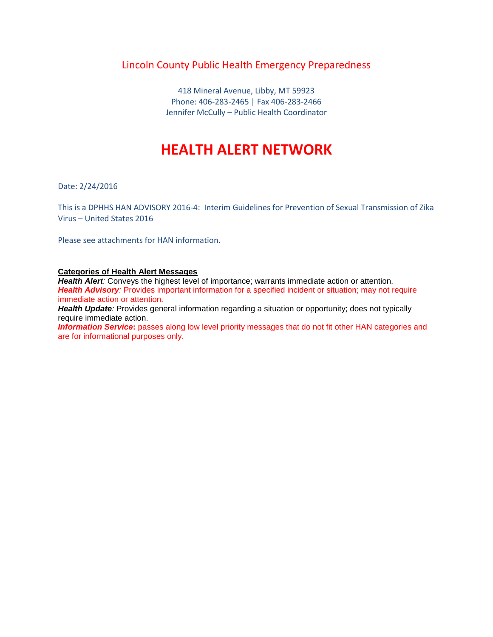### Lincoln County Public Health Emergency Preparedness

418 Mineral Avenue, Libby, MT 59923 Phone: 406-283-2465 | Fax 406-283-2466 Jennifer McCully – Public Health Coordinator

# **HEALTH ALERT NETWORK**

Date: 2/24/2016

This is a DPHHS HAN ADVISORY 2016-4: Interim Guidelines for Prevention of Sexual Transmission of Zika Virus – United States 2016

Please see attachments for HAN information.

#### **Categories of Health Alert Messages**

*Health Alert:* Conveys the highest level of importance; warrants immediate action or attention. **Health Advisory**: Provides important information for a specified incident or situation; may not require immediate action or attention.

*Health Update:* Provides general information regarding a situation or opportunity; does not typically require immediate action.

**Information Service:** passes along low level priority messages that do not fit other HAN categories and are for informational purposes only.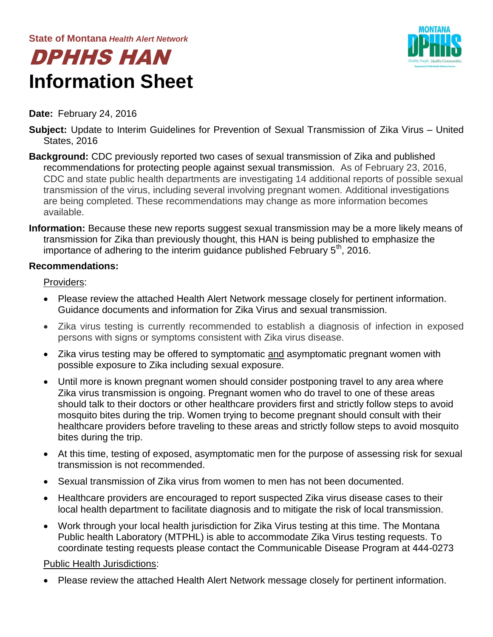# DPHHS HAN **Information Sheet**



### **Date:** February 24, 2016

- **Subject:** Update to Interim Guidelines for Prevention of Sexual Transmission of Zika Virus United States, 2016
- **Background:** CDC previously reported two cases of sexual transmission of Zika and published recommendations for protecting people against sexual transmission. As of February 23, 2016, CDC and state public health departments are investigating 14 additional reports of possible sexual transmission of the virus, including several involving pregnant women. Additional investigations are being completed. These recommendations may change as more information becomes available.
- **Information:** Because these new reports suggest sexual transmission may be a more likely means of transmission for Zika than previously thought, this HAN is being published to emphasize the importance of adhering to the interim guidance published February  $5<sup>th</sup>$ , 2016.

### **Recommendations:**

Providers:

- Please review the attached Health Alert Network message closely for pertinent information. Guidance documents and information for Zika Virus and sexual transmission.
- Zika virus testing is currently recommended to establish a diagnosis of infection in exposed persons with signs or symptoms consistent with Zika virus disease.
- Zika virus testing may be offered to symptomatic and asymptomatic pregnant women with possible exposure to Zika including sexual exposure.
- Until more is known pregnant women should consider postponing travel to any area where Zika virus transmission is ongoing. Pregnant women who do travel to one of these areas should talk to their doctors or other healthcare providers first and strictly follow steps to avoid mosquito bites during the trip. Women trying to become pregnant should consult with their healthcare providers before traveling to these areas and strictly follow steps to avoid mosquito bites during the trip.
- At this time, testing of exposed, asymptomatic men for the purpose of assessing risk for sexual transmission is not recommended.
- Sexual transmission of Zika virus from women to men has not been documented.
- Healthcare providers are encouraged to report suspected Zika virus disease cases to their local health department to facilitate diagnosis and to mitigate the risk of local transmission.
- Work through your local health jurisdiction for Zika Virus testing at this time. The Montana Public health Laboratory (MTPHL) is able to accommodate Zika Virus testing requests. To coordinate testing requests please contact the Communicable Disease Program at 444-0273

### Public Health Jurisdictions:

Please review the attached Health Alert Network message closely for pertinent information.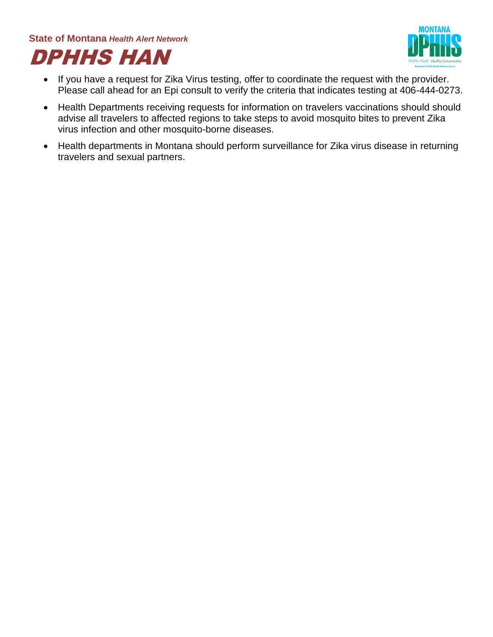# **State of Montana** *Health Alert Network* DPHHS HAN



- If you have a request for Zika Virus testing, offer to coordinate the request with the provider. Please call ahead for an Epi consult to verify the criteria that indicates testing at 406-444-0273.
- Health Departments receiving requests for information on travelers vaccinations should should advise all travelers to affected regions to take steps to avoid mosquito bites to prevent Zika virus infection and other mosquito-borne diseases.
- Health departments in Montana should perform surveillance for Zika virus disease in returning travelers and sexual partners.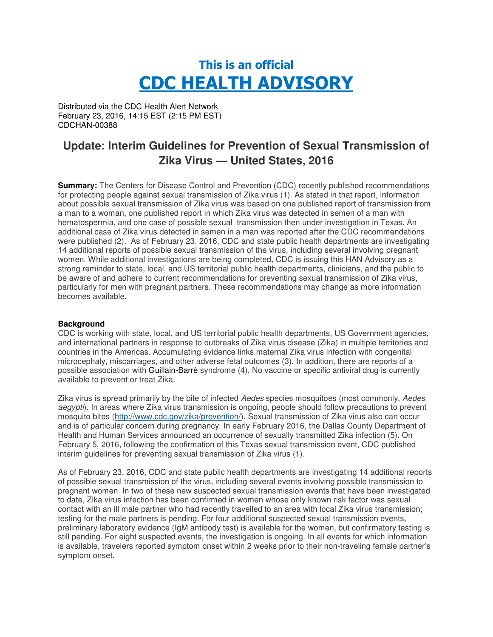# This is an official CDC HEALTH ADVISORY

Distributed via the CDC Health Alert Network February 23, 2016, 14:15 EST (2:15 PM EST) CDCHAN-00388

## **Update: Interim Guidelines for Prevention of Sexual Transmission of Zika Virus — United States, 2016**

**Summary:** The Centers for Disease Control and Prevention (CDC) recently published recommendations for protecting people against sexual transmission of Zika virus (1). As stated in that report, information about possible sexual transmission of Zika virus was based on one published report of transmission from a man to a woman, one published report in which Zika virus was detected in semen of a man with hematospermia, and one case of possible sexual transmission then under investigation in Texas. An additional case of Zika virus detected in semen in a man was reported after the CDC recommendations were published (2). As of February 23, 2016, CDC and state public health departments are investigating 14 additional reports of possible sexual transmission of the virus, including several involving pregnant women. While additional investigations are being completed, CDC is issuing this HAN Advisory as a strong reminder to state, local, and US territorial public health departments, clinicians, and the public to be aware of and adhere to current recommendations for preventing sexual transmission of Zika virus, particularly for men with pregnant partners. These recommendations may change as more information becomes available.

### **Background**

CDC is working with state, local, and US territorial public health departments, US Government agencies, and international partners in response to outbreaks of Zika virus disease (Zika) in multiple territories and countries in the Americas. Accumulating evidence links maternal Zika virus infection with congenital microcephaly, miscarriages, and other adverse fetal outcomes (3). In addition, there are reports of a possible association with Guillain-Barré syndrome (4). No vaccine or specific antiviral drug is currently available to prevent or treat Zika.

Zika virus is spread primarily by the bite of infected Aedes species mosquitoes (most commonly, Aedes aegypti). In areas where Zika virus transmission is ongoing, people should follow precautions to prevent mosquito bites (http://www.cdc.gov/zika/prevention/). Sexual transmission of Zika virus also can occur and is of particular concern during pregnancy. In early February 2016, the Dallas County Department of Health and Human Services announced an occurrence of sexually transmitted Zika infection (5). On February 5, 2016, following the confirmation of this Texas sexual transmission event, CDC published interim guidelines for preventing sexual transmission of Zika virus (1).

As of February 23, 2016, CDC and state public health departments are investigating 14 additional reports of possible sexual transmission of the virus, including several events involving possible transmission to pregnant women. In two of these new suspected sexual transmission events that have been investigated to date, Zika virus infection has been confirmed in women whose only known risk factor was sexual contact with an ill male partner who had recently travelled to an area with local Zika virus transmission; testing for the male partners is pending. For four additional suspected sexual transmission events, preliminary laboratory evidence (IgM antibody test) is available for the women, but confirmatory testing is still pending. For eight suspected events, the investigation is ongoing. In all events for which information is available, travelers reported symptom onset within 2 weeks prior to their non-traveling female partner's symptom onset.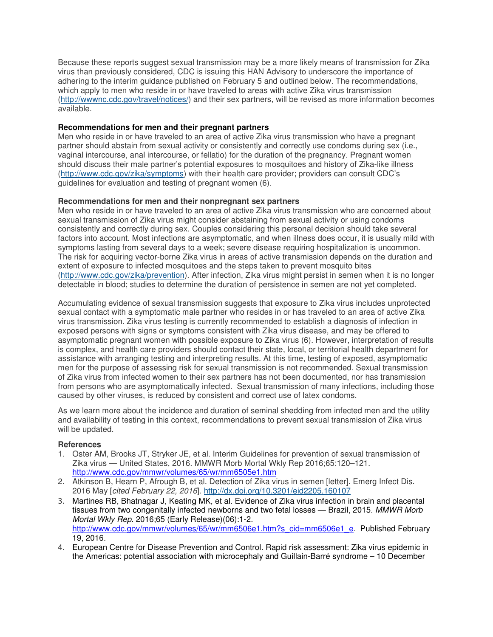Because these reports suggest sexual transmission may be a more likely means of transmission for Zika virus than previously considered, CDC is issuing this HAN Advisory to underscore the importance of adhering to the interim guidance published on February 5 and outlined below. The recommendations, which apply to men who reside in or have traveled to areas with active Zika virus transmission (http://wwwnc.cdc.gov/travel/notices/) and their sex partners, will be revised as more information becomes available.

#### **Recommendations for men and their pregnant partners**

Men who reside in or have traveled to an area of active Zika virus transmission who have a pregnant partner should abstain from sexual activity or consistently and correctly use condoms during sex (i.e., vaginal intercourse, anal intercourse, or fellatio) for the duration of the pregnancy. Pregnant women should discuss their male partner's potential exposures to mosquitoes and history of Zika-like illness (http://www.cdc.gov/zika/symptoms) with their health care provider; providers can consult CDC's guidelines for evaluation and testing of pregnant women (6).

### **Recommendations for men and their nonpregnant sex partners**

Men who reside in or have traveled to an area of active Zika virus transmission who are concerned about sexual transmission of Zika virus might consider abstaining from sexual activity or using condoms consistently and correctly during sex. Couples considering this personal decision should take several factors into account. Most infections are asymptomatic, and when illness does occur, it is usually mild with symptoms lasting from several days to a week; severe disease requiring hospitalization is uncommon. The risk for acquiring vector-borne Zika virus in areas of active transmission depends on the duration and extent of exposure to infected mosquitoes and the steps taken to prevent mosquito bites (http://www.cdc.gov/zika/prevention). After infection, Zika virus might persist in semen when it is no longer detectable in blood; studies to determine the duration of persistence in semen are not yet completed.

Accumulating evidence of sexual transmission suggests that exposure to Zika virus includes unprotected sexual contact with a symptomatic male partner who resides in or has traveled to an area of active Zika virus transmission. Zika virus testing is currently recommended to establish a diagnosis of infection in exposed persons with signs or symptoms consistent with Zika virus disease, and may be offered to asymptomatic pregnant women with possible exposure to Zika virus (6). However, interpretation of results is complex, and health care providers should contact their state, local, or territorial health department for assistance with arranging testing and interpreting results. At this time, testing of exposed, asymptomatic men for the purpose of assessing risk for sexual transmission is not recommended. Sexual transmission of Zika virus from infected women to their sex partners has not been documented, nor has transmission from persons who are asymptomatically infected. Sexual transmission of many infections, including those caused by other viruses, is reduced by consistent and correct use of latex condoms.

As we learn more about the incidence and duration of seminal shedding from infected men and the utility and availability of testing in this context, recommendations to prevent sexual transmission of Zika virus will be updated.

### **References**

- 1. Oster AM, Brooks JT, Stryker JE, et al. Interim Guidelines for prevention of sexual transmission of Zika virus — United States, 2016. MMWR Morb Mortal Wkly Rep 2016;65:120–121. http://www.cdc.gov/mmwr/volumes/65/wr/mm6505e1.htm
- 2. Atkinson B, Hearn P, Afrough B, et al. Detection of Zika virus in semen [letter]. Emerg Infect Dis. 2016 May [cited February 22, 2016]. http://dx.doi.org/10.3201/eid2205.160107
- 3. Martines RB, Bhatnagar J, Keating MK, et al. Evidence of Zika virus infection in brain and placental tissues from two congenitally infected newborns and two fetal losses — Brazil, 2015. MMWR Morb Mortal Wkly Rep. 2016;65 (Early Release)(06):1-2. http://www.cdc.gov/mmwr/volumes/65/wr/mm6506e1.htm?s\_cid=mm6506e1\_e. Published February 19, 2016.
- 4. European Centre for Disease Prevention and Control. Rapid risk assessment: Zika virus epidemic in the Americas: potential association with microcephaly and Guillain-Barré syndrome – 10 December